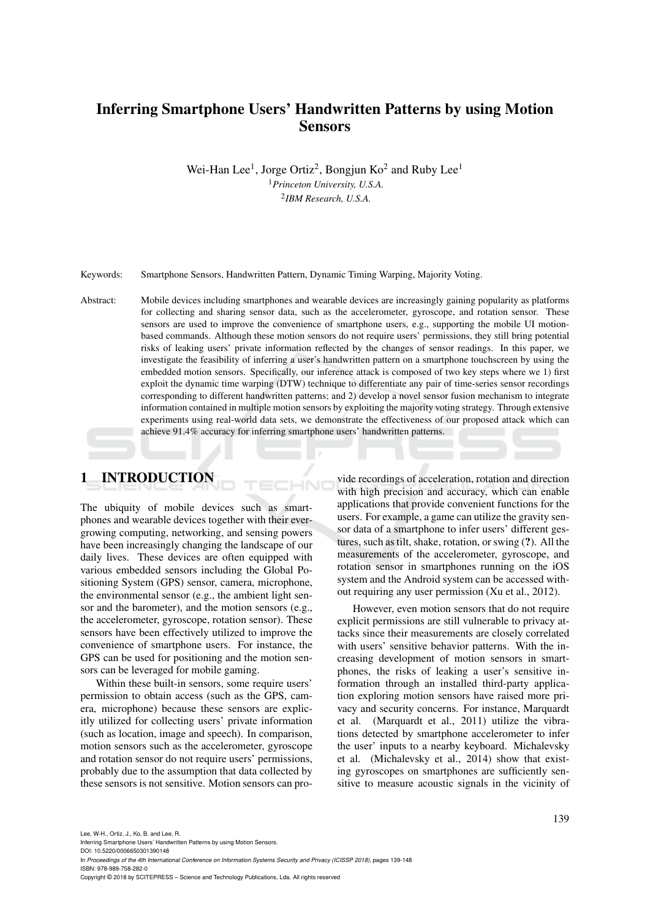# Inferring Smartphone Users' Handwritten Patterns by using Motion Sensors

Wei-Han Lee<sup>1</sup>, Jorge Ortiz<sup>2</sup>, Bongjun Ko<sup>2</sup> and Ruby Lee<sup>1</sup> <sup>1</sup>*Princeton University, U.S.A.* 2 *IBM Research, U.S.A.*

Keywords: Smartphone Sensors, Handwritten Pattern, Dynamic Timing Warping, Majority Voting.

Abstract: Mobile devices including smartphones and wearable devices are increasingly gaining popularity as platforms for collecting and sharing sensor data, such as the accelerometer, gyroscope, and rotation sensor. These sensors are used to improve the convenience of smartphone users, e.g., supporting the mobile UI motionbased commands. Although these motion sensors do not require users' permissions, they still bring potential risks of leaking users' private information reflected by the changes of sensor readings. In this paper, we investigate the feasibility of inferring a user's handwritten pattern on a smartphone touchscreen by using the embedded motion sensors. Specifically, our inference attack is composed of two key steps where we 1) first exploit the dynamic time warping (DTW) technique to differentiate any pair of time-series sensor recordings corresponding to different handwritten patterns; and 2) develop a novel sensor fusion mechanism to integrate information contained in multiple motion sensors by exploiting the majority voting strategy. Through extensive experiments using real-world data sets, we demonstrate the effectiveness of our proposed attack which can achieve 91.4% accuracy for inferring smartphone users' handwritten patterns.

# 1 INTRODUCTION

The ubiquity of mobile devices such as smartphones and wearable devices together with their evergrowing computing, networking, and sensing powers have been increasingly changing the landscape of our daily lives. These devices are often equipped with various embedded sensors including the Global Positioning System (GPS) sensor, camera, microphone, the environmental sensor (e.g., the ambient light sensor and the barometer), and the motion sensors (e.g., the accelerometer, gyroscope, rotation sensor). These sensors have been effectively utilized to improve the convenience of smartphone users. For instance, the GPS can be used for positioning and the motion sensors can be leveraged for mobile gaming.

Within these built-in sensors, some require users' permission to obtain access (such as the GPS, camera, microphone) because these sensors are explicitly utilized for collecting users' private information (such as location, image and speech). In comparison, motion sensors such as the accelerometer, gyroscope and rotation sensor do not require users' permissions, probably due to the assumption that data collected by these sensors is not sensitive. Motion sensors can pro-

vide recordings of acceleration, rotation and direction with high precision and accuracy, which can enable applications that provide convenient functions for the users. For example, a game can utilize the gravity sensor data of a smartphone to infer users' different gestures, such as tilt, shake, rotation, or swing (?). All the measurements of the accelerometer, gyroscope, and rotation sensor in smartphones running on the iOS system and the Android system can be accessed without requiring any user permission (Xu et al., 2012).

However, even motion sensors that do not require explicit permissions are still vulnerable to privacy attacks since their measurements are closely correlated with users' sensitive behavior patterns. With the increasing development of motion sensors in smartphones, the risks of leaking a user's sensitive information through an installed third-party application exploring motion sensors have raised more privacy and security concerns. For instance, Marquardt et al. (Marquardt et al., 2011) utilize the vibrations detected by smartphone accelerometer to infer the user' inputs to a nearby keyboard. Michalevsky et al. (Michalevsky et al., 2014) show that existing gyroscopes on smartphones are sufficiently sensitive to measure acoustic signals in the vicinity of

Lee, W-H., Ortiz, J., Ko, B. and Lee, R.

Inferring Smartphone Users' Handwritten Patterns by using Motion Sensors.

DOI: 10.5220/0006650301390148

In *Proceedings of the 4th International Conference on Information Systems Security and Privacy (ICISSP 2018)*, pages 139-148 ISBN: 978-989-758-282-0

Copyright © 2018 by SCITEPRESS – Science and Technology Publications, Lda. All rights reserved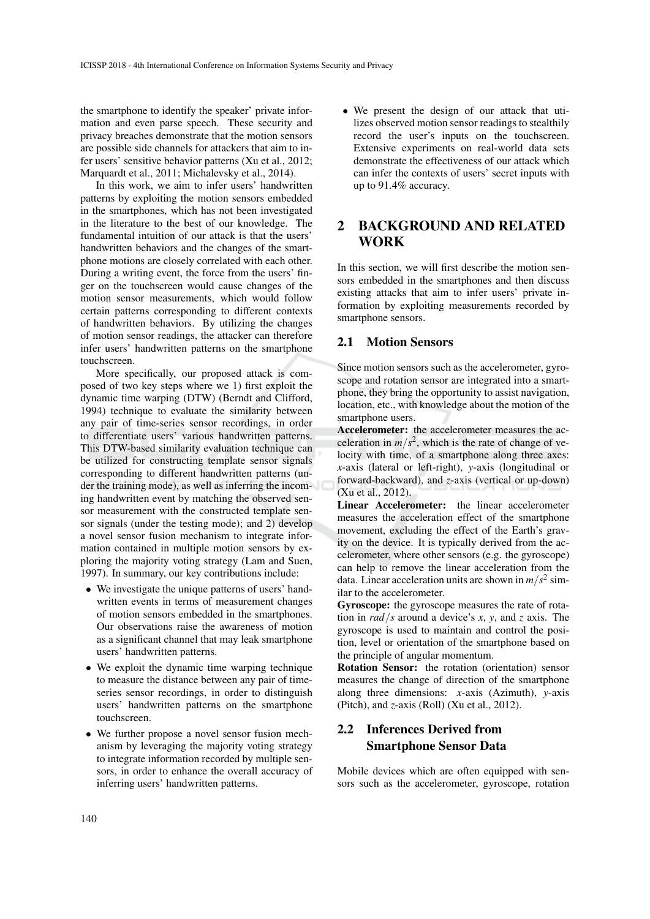the smartphone to identify the speaker' private information and even parse speech. These security and privacy breaches demonstrate that the motion sensors are possible side channels for attackers that aim to infer users' sensitive behavior patterns (Xu et al., 2012; Marquardt et al., 2011; Michalevsky et al., 2014).

In this work, we aim to infer users' handwritten patterns by exploiting the motion sensors embedded in the smartphones, which has not been investigated in the literature to the best of our knowledge. The fundamental intuition of our attack is that the users' handwritten behaviors and the changes of the smartphone motions are closely correlated with each other. During a writing event, the force from the users' finger on the touchscreen would cause changes of the motion sensor measurements, which would follow certain patterns corresponding to different contexts of handwritten behaviors. By utilizing the changes of motion sensor readings, the attacker can therefore infer users' handwritten patterns on the smartphone touchscreen.

More specifically, our proposed attack is composed of two key steps where we 1) first exploit the dynamic time warping (DTW) (Berndt and Clifford, 1994) technique to evaluate the similarity between any pair of time-series sensor recordings, in order to differentiate users' various handwritten patterns. This DTW-based similarity evaluation technique can be utilized for constructing template sensor signals corresponding to different handwritten patterns (under the training mode), as well as inferring the incoming handwritten event by matching the observed sensor measurement with the constructed template sensor signals (under the testing mode); and 2) develop a novel sensor fusion mechanism to integrate information contained in multiple motion sensors by exploring the majority voting strategy (Lam and Suen, 1997). In summary, our key contributions include:

- We investigate the unique patterns of users' handwritten events in terms of measurement changes of motion sensors embedded in the smartphones. Our observations raise the awareness of motion as a significant channel that may leak smartphone users' handwritten patterns.
- We exploit the dynamic time warping technique to measure the distance between any pair of timeseries sensor recordings, in order to distinguish users' handwritten patterns on the smartphone touchscreen.
- We further propose a novel sensor fusion mechanism by leveraging the majority voting strategy to integrate information recorded by multiple sensors, in order to enhance the overall accuracy of inferring users' handwritten patterns.

• We present the design of our attack that utilizes observed motion sensor readings to stealthily record the user's inputs on the touchscreen. Extensive experiments on real-world data sets demonstrate the effectiveness of our attack which can infer the contexts of users' secret inputs with up to 91.4% accuracy.

# 2 BACKGROUND AND RELATED WORK

In this section, we will first describe the motion sensors embedded in the smartphones and then discuss existing attacks that aim to infer users' private information by exploiting measurements recorded by smartphone sensors.

#### 2.1 Motion Sensors

Since motion sensors such as the accelerometer, gyroscope and rotation sensor are integrated into a smartphone, they bring the opportunity to assist navigation, location, etc., with knowledge about the motion of the smartphone users.

Accelerometer: the accelerometer measures the acceleration in  $m/s^2$ , which is the rate of change of velocity with time, of a smartphone along three axes: *x*-axis (lateral or left-right), *y*-axis (longitudinal or forward-backward), and *z*-axis (vertical or up-down) (Xu et al., 2012).

Linear Accelerometer: the linear accelerometer measures the acceleration effect of the smartphone movement, excluding the effect of the Earth's gravity on the device. It is typically derived from the accelerometer, where other sensors (e.g. the gyroscope) can help to remove the linear acceleration from the data. Linear acceleration units are shown in  $m/s^2$  similar to the accelerometer.

Gyroscope: the gyroscope measures the rate of rotation in *rad*/*s* around a device's *x*, *y*, and *z* axis. The gyroscope is used to maintain and control the position, level or orientation of the smartphone based on the principle of angular momentum.

Rotation Sensor: the rotation (orientation) sensor measures the change of direction of the smartphone along three dimensions: *x*-axis (Azimuth), *y*-axis (Pitch), and *z*-axis (Roll) (Xu et al., 2012).

## 2.2 Inferences Derived from Smartphone Sensor Data

Mobile devices which are often equipped with sensors such as the accelerometer, gyroscope, rotation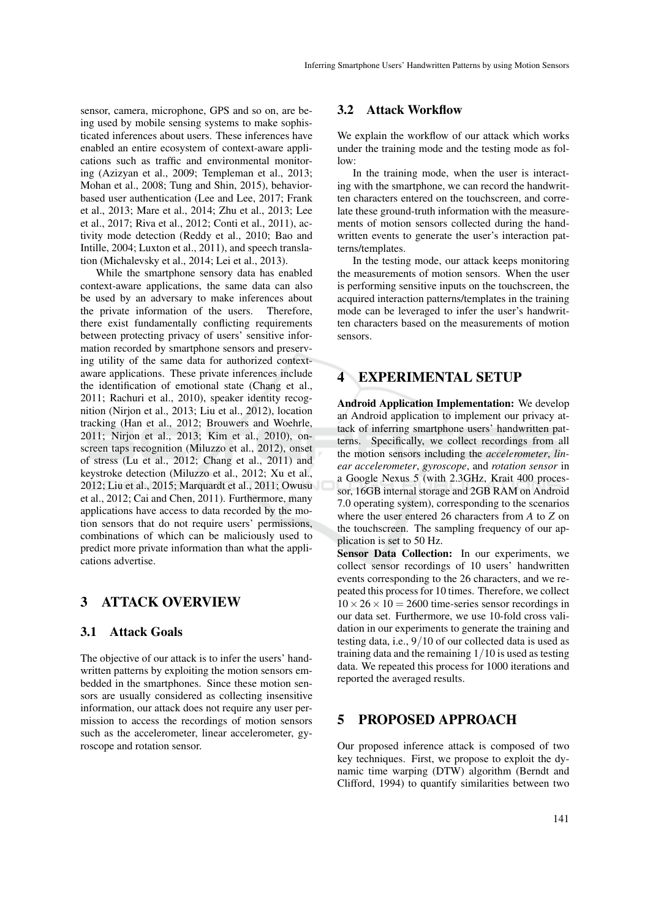sensor, camera, microphone, GPS and so on, are being used by mobile sensing systems to make sophisticated inferences about users. These inferences have enabled an entire ecosystem of context-aware applications such as traffic and environmental monitoring (Azizyan et al., 2009; Templeman et al., 2013; Mohan et al., 2008; Tung and Shin, 2015), behaviorbased user authentication (Lee and Lee, 2017; Frank et al., 2013; Mare et al., 2014; Zhu et al., 2013; Lee et al., 2017; Riva et al., 2012; Conti et al., 2011), activity mode detection (Reddy et al., 2010; Bao and Intille, 2004; Luxton et al., 2011), and speech translation (Michalevsky et al., 2014; Lei et al., 2013).

While the smartphone sensory data has enabled context-aware applications, the same data can also be used by an adversary to make inferences about the private information of the users. Therefore, there exist fundamentally conflicting requirements between protecting privacy of users' sensitive information recorded by smartphone sensors and preserving utility of the same data for authorized contextaware applications. These private inferences include the identification of emotional state (Chang et al., 2011; Rachuri et al., 2010), speaker identity recognition (Nirjon et al., 2013; Liu et al., 2012), location tracking (Han et al., 2012; Brouwers and Woehrle, 2011; Nirjon et al., 2013; Kim et al., 2010), onscreen taps recognition (Miluzzo et al., 2012), onset of stress (Lu et al., 2012; Chang et al., 2011) and keystroke detection (Miluzzo et al., 2012; Xu et al., 2012; Liu et al., 2015; Marquardt et al., 2011; Owusu et al., 2012; Cai and Chen, 2011). Furthermore, many applications have access to data recorded by the motion sensors that do not require users' permissions, combinations of which can be maliciously used to predict more private information than what the applications advertise.

#### 3 ATTACK OVERVIEW

#### 3.1 Attack Goals

The objective of our attack is to infer the users' handwritten patterns by exploiting the motion sensors embedded in the smartphones. Since these motion sensors are usually considered as collecting insensitive information, our attack does not require any user permission to access the recordings of motion sensors such as the accelerometer, linear accelerometer, gyroscope and rotation sensor.

#### 3.2 Attack Workflow

We explain the workflow of our attack which works under the training mode and the testing mode as fol- $1_0w$ 

In the training mode, when the user is interacting with the smartphone, we can record the handwritten characters entered on the touchscreen, and correlate these ground-truth information with the measurements of motion sensors collected during the handwritten events to generate the user's interaction patterns/templates.

In the testing mode, our attack keeps monitoring the measurements of motion sensors. When the user is performing sensitive inputs on the touchscreen, the acquired interaction patterns/templates in the training mode can be leveraged to infer the user's handwritten characters based on the measurements of motion sensors.

# EXPERIMENTAL SETUP

Android Application Implementation: We develop an Android application to implement our privacy attack of inferring smartphone users' handwritten patterns. Specifically, we collect recordings from all the motion sensors including the *accelerometer*, *linear accelerometer*, *gyroscope*, and *rotation sensor* in a Google Nexus 5 (with 2.3GHz, Krait 400 processor, 16GB internal storage and 2GB RAM on Android 7.0 operating system), corresponding to the scenarios where the user entered 26 characters from *A* to *Z* on the touchscreen. The sampling frequency of our application is set to 50 Hz.

Sensor Data Collection: In our experiments, we collect sensor recordings of 10 users' handwritten events corresponding to the 26 characters, and we repeated this process for 10 times. Therefore, we collect  $10 \times 26 \times 10 = 2600$  time-series sensor recordings in our data set. Furthermore, we use 10-fold cross validation in our experiments to generate the training and testing data, i.e., 9/10 of our collected data is used as training data and the remaining 1/10 is used as testing data. We repeated this process for 1000 iterations and reported the averaged results.

### 5 PROPOSED APPROACH

Our proposed inference attack is composed of two key techniques. First, we propose to exploit the dynamic time warping (DTW) algorithm (Berndt and Clifford, 1994) to quantify similarities between two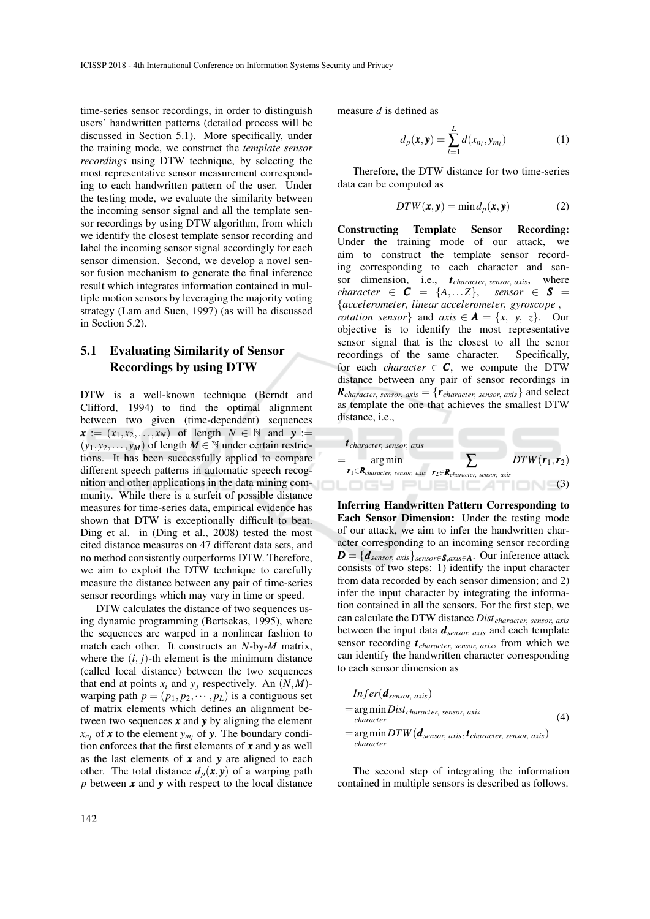time-series sensor recordings, in order to distinguish users' handwritten patterns (detailed process will be discussed in Section 5.1). More specifically, under the training mode, we construct the *template sensor recordings* using DTW technique, by selecting the most representative sensor measurement corresponding to each handwritten pattern of the user. Under the testing mode, we evaluate the similarity between the incoming sensor signal and all the template sensor recordings by using DTW algorithm, from which we identify the closest template sensor recording and label the incoming sensor signal accordingly for each sensor dimension. Second, we develop a novel sensor fusion mechanism to generate the final inference result which integrates information contained in multiple motion sensors by leveraging the majority voting strategy (Lam and Suen, 1997) (as will be discussed in Section 5.2).

# 5.1 Evaluating Similarity of Sensor Recordings by using DTW

DTW is a well-known technique (Berndt and Clifford, 1994) to find the optimal alignment between two given (time-dependent) sequences  $\mathbf{x}$  :=  $(x_1, x_2, \ldots, x_N)$  of length  $N \in \mathbb{N}$  and  $\mathbf{y}$  :=  $(y_1, y_2, \ldots, y_M)$  of length  $M \in \mathbb{N}$  under certain restrictions. It has been successfully applied to compare different speech patterns in automatic speech recognition and other applications in the data mining community. While there is a surfeit of possible distance measures for time-series data, empirical evidence has shown that DTW is exceptionally difficult to beat. Ding et al. in (Ding et al., 2008) tested the most cited distance measures on 47 different data sets, and no method consistently outperforms DTW. Therefore, we aim to exploit the DTW technique to carefully measure the distance between any pair of time-series sensor recordings which may vary in time or speed.

DTW calculates the distance of two sequences using dynamic programming (Bertsekas, 1995), where the sequences are warped in a nonlinear fashion to match each other. It constructs an *N*-by-*M* matrix, where the  $(i, j)$ -th element is the minimum distance (called local distance) between the two sequences that end at points  $x_i$  and  $y_j$  respectively. An  $(N, M)$ warping path  $p = (p_1, p_2, \dots, p_L)$  is a contiguous set of matrix elements which defines an alignment between two sequences *x* and *y* by aligning the element  $x_{n_l}$  of **x** to the element  $y_{m_l}$  of **y**. The boundary condition enforces that the first elements of *x* and *y* as well as the last elements of *x* and *y* are aligned to each other. The total distance  $d_p(x, y)$  of a warping path *p* between *x* and *y* with respect to the local distance measure *d* is defined as

$$
d_p(\mathbf{x}, \mathbf{y}) = \sum_{l=1}^{L} d(x_{n_l}, y_{m_l})
$$
 (1)

Therefore, the DTW distance for two time-series data can be computed as

$$
DTW(\pmb{x}, \pmb{y}) = \min d_p(\pmb{x}, \pmb{y})
$$
 (2)

Constructing Template Sensor Recording: Under the training mode of our attack, we aim to construct the template sensor recording corresponding to each character and sensor dimension, i.e., *t character*, *sensor*, *axis*, where *character*  $\in$  *C* = {A,...*Z*}, *sensor*  $\in$  *S* = {*accelerometer*, *linear accelerometer*, *gyroscope* , *rotation sensor*} and *axis*  $\in$  *A* = {*x*, *y*, *z*}. Our objective is to identify the most representative sensor signal that is the closest to all the senor recordings of the same character. Specifically, for each *character*  $\in$  **C**, we compute the DTW distance between any pair of sensor recordings in  $R_{character, sensor, axis} = {r_{character, sensor, axis}}$  and select as template the one that achieves the smallest DTW distance, *i.e.*,



Inferring Handwritten Pattern Corresponding to Each Sensor Dimension: Under the testing mode of our attack, we aim to infer the handwritten character corresponding to an incoming sensor recording *D* = {*dsensor*, *axis*}*sensor*∈*S*,*axis*∈*A*. Our inference attack consists of two steps: 1) identify the input character from data recorded by each sensor dimension; and 2) infer the input character by integrating the information contained in all the sensors. For the first step, we can calculate the DTW distance *Distcharacter*, *sensor*, *axis* between the input data *dsensor*, *axis* and each template sensor recording *t character*, *sensor*, *axis*, from which we can identify the handwritten character corresponding to each sensor dimension as

$$
Infer(\boldsymbol{d}_{sensor, axis})
$$
  
= arg min Dist\_{character, sensor, axis  
character  
= arg min DTW(\boldsymbol{d}\_{sensor, axis}, \boldsymbol{t}\_{character, sensor, axis}) (4)  
character

The second step of integrating the information contained in multiple sensors is described as follows.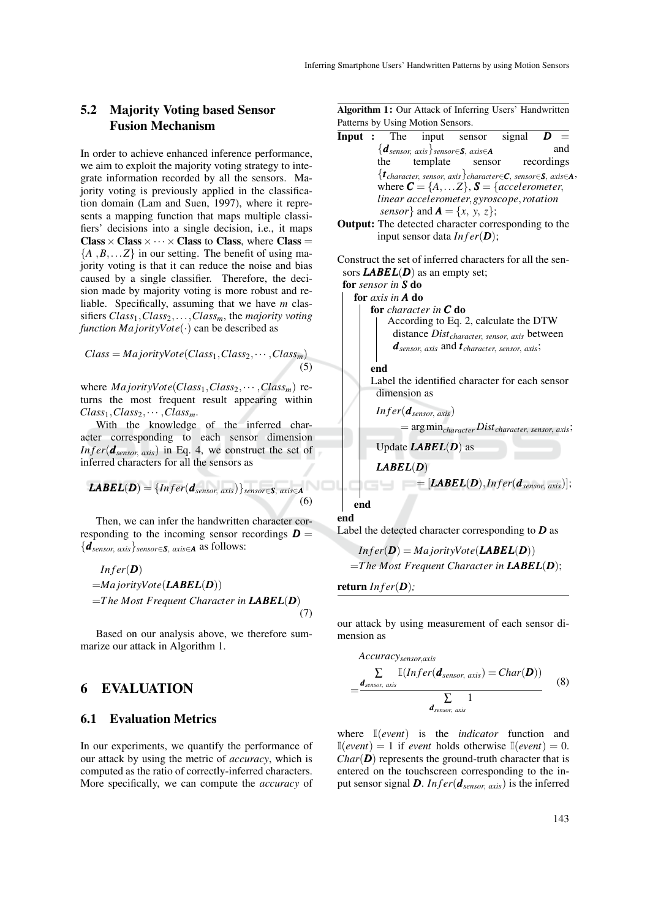#### 5.2 Majority Voting based Sensor Fusion Mechanism

In order to achieve enhanced inference performance, we aim to exploit the majority voting strategy to integrate information recorded by all the sensors. Majority voting is previously applied in the classification domain (Lam and Suen, 1997), where it represents a mapping function that maps multiple classifiers' decisions into a single decision, i.e., it maps  $\text{Class} \times \text{Class} \times \cdots \times \text{Class}$  to Class, where Class =  ${A, B, \ldots Z}$  in our setting. The benefit of using majority voting is that it can reduce the noise and bias caused by a single classifier. Therefore, the decision made by majority voting is more robust and reliable. Specifically, assuming that we have *m* classifiers *Class*1,*Class*2,...,*Classm*, the *majority voting function Ma jorityVote*(·) can be described as

$$
Class = \text{MajorityVote}(Class_1, Class_2, \cdots, Class_m)
$$
\n
$$
(5)
$$

where  $MajorityVote(Class_1, Class_2, \cdots, Class_m)$  returns the most frequent result appearing within  $Class_1, Class_2, \cdots, Class_m.$ 

With the knowledge of the inferred character corresponding to each sensor dimension *In f er*( $d_{sensor, axis}$ ) in Eq. 4, we construct the set of inferred characters for all the sensors as

**LABEL**(**D**) = {*Infer*(
$$
d_{sensor, axis}
$$
)}<sub>sensor</sub>  $\in$ **S**, axis **A** (6)

Then, we can infer the handwritten character corresponding to the incoming sensor recordings  $\boldsymbol{D} =$ {*dsensor*, *axis*}*sensor*∈*S*, *axis*∈*<sup>A</sup>* as follows:

$$
Infer(D)
$$
  
=MajorityVote(**LABEL(D**))  
=The Most Frequent Character in **LABEL(D)** (7)

Based on our analysis above, we therefore summarize our attack in Algorithm 1.

## 6 EVALUATION

#### 6.1 Evaluation Metrics

In our experiments, we quantify the performance of our attack by using the metric of *accuracy*, which is computed as the ratio of correctly-inferred characters. More specifically, we can compute the *accuracy* of

Algorithm 1: Our Attack of Inferring Users' Handwritten Patterns by Using Motion Sensors.

| $\sim$ $\sim$ $\sim$ $\sim$ $\sim$ $\sim$                            |                                                                                |                                                                                                                                                         |        |            |     |
|----------------------------------------------------------------------|--------------------------------------------------------------------------------|---------------------------------------------------------------------------------------------------------------------------------------------------------|--------|------------|-----|
| Input : The                                                          |                                                                                | input sensor signal $\overline{D}$ =                                                                                                                    |        |            |     |
|                                                                      |                                                                                | $\{\boldsymbol{d}_{sensor,\ axis}\}_{sensor \in \mathcal{S},\ axis \in \mathcal{A}}$                                                                    |        |            | and |
| the                                                                  | template                                                                       |                                                                                                                                                         | sensor | recordings |     |
|                                                                      |                                                                                | $\{ \boldsymbol{t}_{character,~sensor,~axis} \}$ character $\in \!\! \boldsymbol{C},$ sensor $\in \!\! \boldsymbol{S},$ axis $\in \!\! \boldsymbol{A}.$ |        |            |     |
|                                                                      |                                                                                | where $\mathbf{C} = \{A, \dots Z\}, \mathbf{S} = \{accelerometer,$                                                                                      |        |            |     |
|                                                                      |                                                                                | linear accelerometer, gyroscope, rotation                                                                                                               |        |            |     |
|                                                                      |                                                                                | <i>sensor</i> } and $\mathbf{A} = \{x, y, z\};$                                                                                                         |        |            |     |
|                                                                      |                                                                                | <b>Output:</b> The detected character corresponding to the                                                                                              |        |            |     |
|                                                                      |                                                                                | input sensor data $Infer(D)$ ;                                                                                                                          |        |            |     |
|                                                                      |                                                                                |                                                                                                                                                         |        |            |     |
|                                                                      |                                                                                | Construct the set of inferred characters for all the sen-                                                                                               |        |            |     |
|                                                                      | sors $\mathbf{LABEL}(D)$ as an empty set;                                      |                                                                                                                                                         |        |            |     |
| for sensor in S do                                                   |                                                                                |                                                                                                                                                         |        |            |     |
| for $axis$ in $A$ do                                                 |                                                                                |                                                                                                                                                         |        |            |     |
|                                                                      | for character in $C$ do                                                        |                                                                                                                                                         |        |            |     |
|                                                                      |                                                                                | According to Eq. 2, calculate the DTW                                                                                                                   |        |            |     |
|                                                                      |                                                                                | distance Dist <sub>character, sensor, axis</sub> between                                                                                                |        |            |     |
|                                                                      |                                                                                | $d_{sensor, axis}$ and $t_{character, sensor, axis}$ ;                                                                                                  |        |            |     |
| end                                                                  |                                                                                |                                                                                                                                                         |        |            |     |
|                                                                      |                                                                                | Label the identified character for each sensor                                                                                                          |        |            |     |
| dimension as                                                         |                                                                                |                                                                                                                                                         |        |            |     |
|                                                                      |                                                                                |                                                                                                                                                         |        |            |     |
|                                                                      | $Infer(\boldsymbol{d}_{sensor, axis})$                                         |                                                                                                                                                         |        |            |     |
|                                                                      |                                                                                | $=$ arg min <sub>character</sub> Dist <sub>character, sensor, axis</sub> ;                                                                              |        |            |     |
|                                                                      | Update $\mathbf{L} \mathbf{A} \mathbf{B} \mathbf{E} \mathbf{L}(\mathbf{D})$ as |                                                                                                                                                         |        |            |     |
| $\mathbf{L} \mathbf{A} \mathbf{B} \mathbf{E} \mathbf{L}(\mathbf{D})$ |                                                                                |                                                                                                                                                         |        |            |     |
|                                                                      |                                                                                | $=[\mathbf{LABEL}(D),\mathbf{Infer}(\boldsymbol{d}_{sensor, axis})];$                                                                                   |        |            |     |

end end

Label the detected character corresponding to *D* as

$$
Infer(D) = MajorityVote(LABEL(D))
$$
  
= The Most Frequent Character in **LABEL**(**D**);

return *In f er*(*D*)*;*

our attack by using measurement of each sensor dimension as

$$
Accuracy_{sensor, axis} \sum_{\text{axis}} \mathbb{I}(Infer(\boldsymbol{d}_{sensor, axis}) = Char(\boldsymbol{D}))
$$
\n
$$
= \frac{\boldsymbol{d}_{sensor, axis}}{\sum_{\text{density}} 1}
$$
\n(8)

where I(*event*) is the *indicator* function and  $\mathbb{I}(event) = 1$  if *event* holds otherwise  $\mathbb{I}(event) = 0$ .  $Char(\mathbf{D})$  represents the ground-truth character that is entered on the touchscreen corresponding to the input sensor signal **D**. *In f er*( $d_{sensor, axis}$ ) is the inferred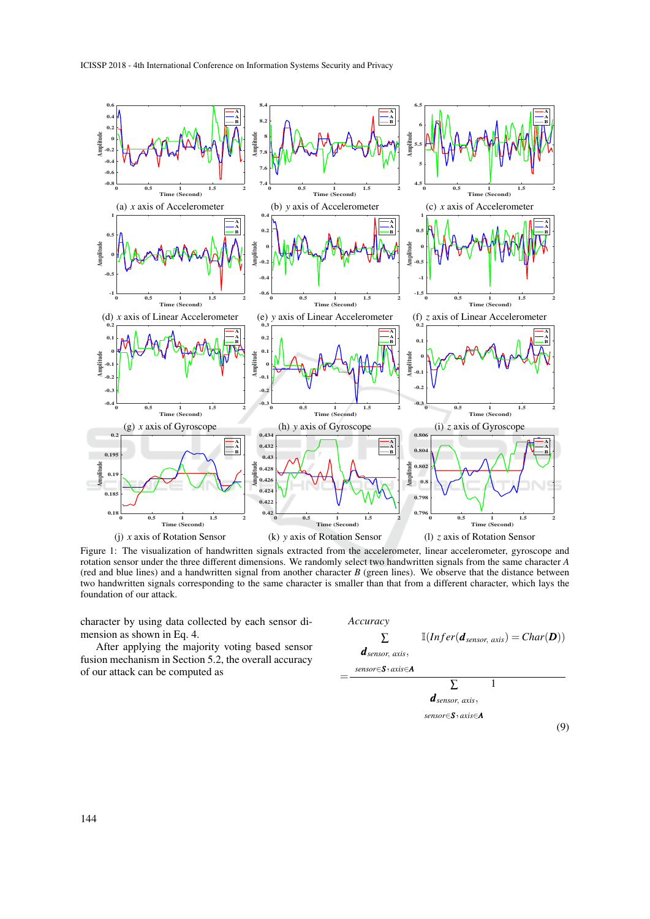

Figure 1: The visualization of handwritten signals extracted from the accelerometer, linear accelerometer, gyroscope and rotation sensor under the three different dimensions. We randomly select two handwritten signals from the same character *A* (red and blue lines) and a handwritten signal from another character *B* (green lines). We observe that the distance between two handwritten signals corresponding to the same character is smaller than that from a different character, which lays the foundation of our attack.

character by using data collected by each sensor dimension as shown in Eq. 4.

After applying the majority voting based sensor fusion mechanism in Section 5.2, the overall accuracy of our attack can be computed as

*Accuracy* = ∑ *dsensor*, *axis*, *sensor*∈*S*, *axis*∈*<sup>A</sup>*  $\mathbb{I}(Infer(d_{sensor, axis}) = Char(D))$ ∑ *dsensor*, *axis*, *sensor*∈*S*, *axis*∈*<sup>A</sup>* 1

(9)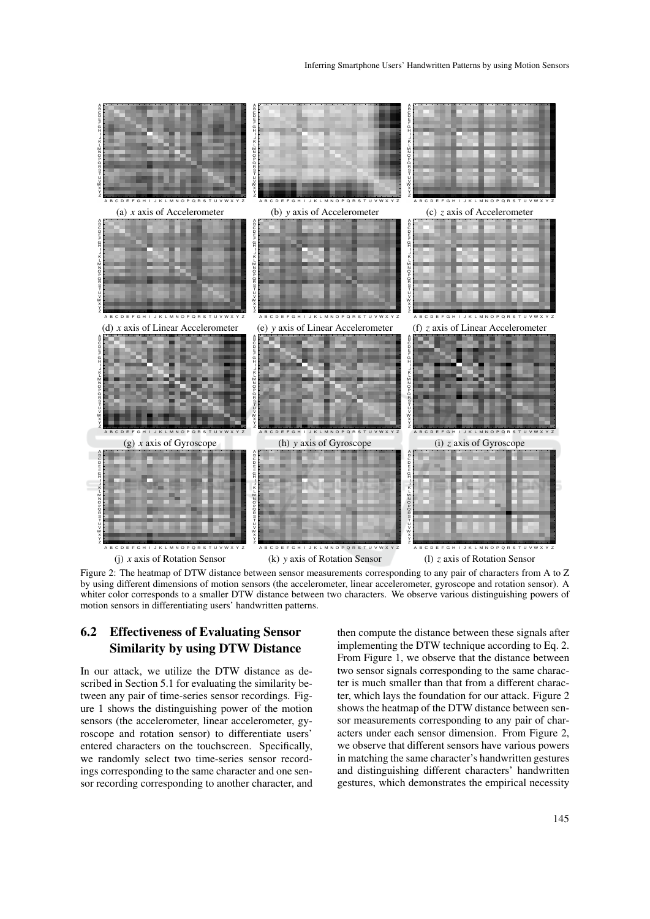

Figure 2: The heatmap of DTW distance between sensor measurements corresponding to any pair of characters from A to Z by using different dimensions of motion sensors (the accelerometer, linear accelerometer, gyroscope and rotation sensor). A whiter color corresponds to a smaller DTW distance between two characters. We observe various distinguishing powers of motion sensors in differentiating users' handwritten patterns.

## 6.2 Effectiveness of Evaluating Sensor Similarity by using DTW Distance

In our attack, we utilize the DTW distance as described in Section 5.1 for evaluating the similarity between any pair of time-series sensor recordings. Figure 1 shows the distinguishing power of the motion sensors (the accelerometer, linear accelerometer, gyroscope and rotation sensor) to differentiate users' entered characters on the touchscreen. Specifically, we randomly select two time-series sensor recordings corresponding to the same character and one sensor recording corresponding to another character, and

then compute the distance between these signals after implementing the DTW technique according to Eq. 2. From Figure 1, we observe that the distance between two sensor signals corresponding to the same character is much smaller than that from a different character, which lays the foundation for our attack. Figure 2 shows the heatmap of the DTW distance between sensor measurements corresponding to any pair of characters under each sensor dimension. From Figure 2, we observe that different sensors have various powers in matching the same character's handwritten gestures and distinguishing different characters' handwritten gestures, which demonstrates the empirical necessity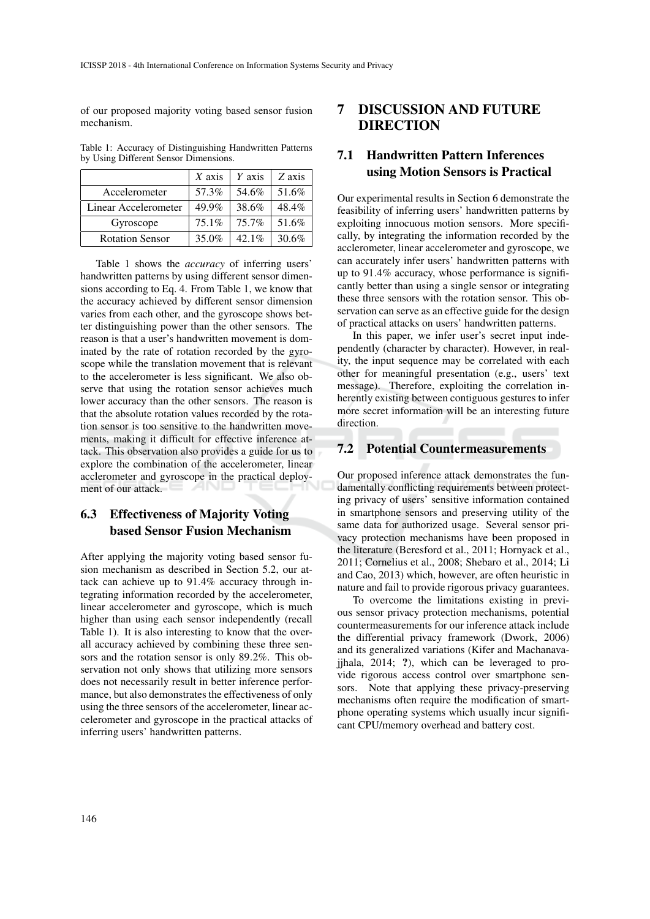of our proposed majority voting based sensor fusion mechanism.

Table 1: Accuracy of Distinguishing Handwritten Patterns by Using Different Sensor Dimensions.

|                        | $X$ axis | Y axis   | Z axis |
|------------------------|----------|----------|--------|
| Accelerometer          | 57.3%    | 54.6%    | 51.6%  |
| Linear Accelerometer   | 49.9%    | 38.6%    | 48.4%  |
| Gyroscope              | $75.1\%$ | 75.7%    | 51.6%  |
| <b>Rotation Sensor</b> | 35.0%    | $42.1\%$ | 30.6%  |

Table 1 shows the *accuracy* of inferring users' handwritten patterns by using different sensor dimensions according to Eq. 4. From Table 1, we know that the accuracy achieved by different sensor dimension varies from each other, and the gyroscope shows better distinguishing power than the other sensors. The reason is that a user's handwritten movement is dominated by the rate of rotation recorded by the gyroscope while the translation movement that is relevant to the accelerometer is less significant. We also observe that using the rotation sensor achieves much lower accuracy than the other sensors. The reason is that the absolute rotation values recorded by the rotation sensor is too sensitive to the handwritten movements, making it difficult for effective inference attack. This observation also provides a guide for us to explore the combination of the accelerometer, linear acclerometer and gyroscope in the practical deployment of our attack.

# 6.3 Effectiveness of Majority Voting based Sensor Fusion Mechanism

After applying the majority voting based sensor fusion mechanism as described in Section 5.2, our attack can achieve up to 91.4% accuracy through integrating information recorded by the accelerometer, linear accelerometer and gyroscope, which is much higher than using each sensor independently (recall Table 1). It is also interesting to know that the overall accuracy achieved by combining these three sensors and the rotation sensor is only 89.2%. This observation not only shows that utilizing more sensors does not necessarily result in better inference performance, but also demonstrates the effectiveness of only using the three sensors of the accelerometer, linear accelerometer and gyroscope in the practical attacks of inferring users' handwritten patterns.

# 7 DISCUSSION AND FUTURE DIRECTION

# 7.1 Handwritten Pattern Inferences using Motion Sensors is Practical

Our experimental results in Section 6 demonstrate the feasibility of inferring users' handwritten patterns by exploiting innocuous motion sensors. More specifically, by integrating the information recorded by the acclerometer, linear accelerometer and gyroscope, we can accurately infer users' handwritten patterns with up to 91.4% accuracy, whose performance is significantly better than using a single sensor or integrating these three sensors with the rotation sensor. This observation can serve as an effective guide for the design of practical attacks on users' handwritten patterns.

In this paper, we infer user's secret input independently (character by character). However, in reality, the input sequence may be correlated with each other for meaningful presentation (e.g., users' text message). Therefore, exploiting the correlation inherently existing between contiguous gestures to infer more secret information will be an interesting future direction.

#### 7.2 Potential Countermeasurements

Our proposed inference attack demonstrates the fundamentally conflicting requirements between protecting privacy of users' sensitive information contained in smartphone sensors and preserving utility of the same data for authorized usage. Several sensor privacy protection mechanisms have been proposed in the literature (Beresford et al., 2011; Hornyack et al., 2011; Cornelius et al., 2008; Shebaro et al., 2014; Li and Cao, 2013) which, however, are often heuristic in nature and fail to provide rigorous privacy guarantees.

To overcome the limitations existing in previous sensor privacy protection mechanisms, potential countermeasurements for our inference attack include the differential privacy framework (Dwork, 2006) and its generalized variations (Kifer and Machanavajjhala, 2014; ?), which can be leveraged to provide rigorous access control over smartphone sensors. Note that applying these privacy-preserving mechanisms often require the modification of smartphone operating systems which usually incur significant CPU/memory overhead and battery cost.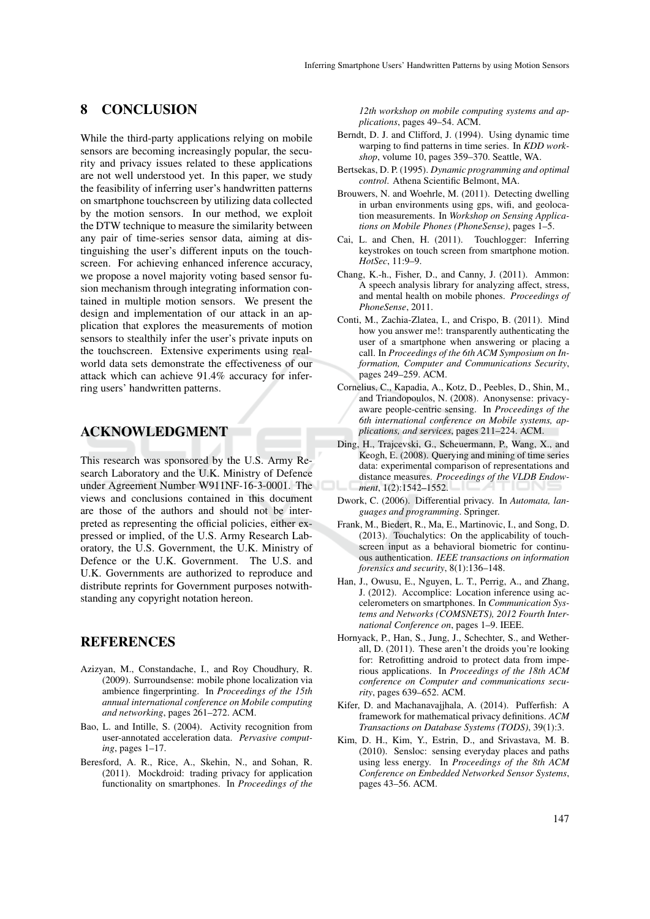#### 8 CONCLUSION

While the third-party applications relying on mobile sensors are becoming increasingly popular, the security and privacy issues related to these applications are not well understood yet. In this paper, we study the feasibility of inferring user's handwritten patterns on smartphone touchscreen by utilizing data collected by the motion sensors. In our method, we exploit the DTW technique to measure the similarity between any pair of time-series sensor data, aiming at distinguishing the user's different inputs on the touchscreen. For achieving enhanced inference accuracy, we propose a novel majority voting based sensor fusion mechanism through integrating information contained in multiple motion sensors. We present the design and implementation of our attack in an application that explores the measurements of motion sensors to stealthily infer the user's private inputs on the touchscreen. Extensive experiments using realworld data sets demonstrate the effectiveness of our attack which can achieve 91.4% accuracy for inferring users' handwritten patterns.

#### ACKNOWLEDGMENT

This research was sponsored by the U.S. Army Research Laboratory and the U.K. Ministry of Defence under Agreement Number W911NF-16-3-0001. The views and conclusions contained in this document are those of the authors and should not be interpreted as representing the official policies, either expressed or implied, of the U.S. Army Research Laboratory, the U.S. Government, the U.K. Ministry of Defence or the U.K. Government. The U.S. and U.K. Governments are authorized to reproduce and distribute reprints for Government purposes notwithstanding any copyright notation hereon.

#### **REFERENCES**

- Azizyan, M., Constandache, I., and Roy Choudhury, R. (2009). Surroundsense: mobile phone localization via ambience fingerprinting. In *Proceedings of the 15th annual international conference on Mobile computing and networking*, pages 261–272. ACM.
- Bao, L. and Intille, S. (2004). Activity recognition from user-annotated acceleration data. *Pervasive computing*, pages 1–17.
- Beresford, A. R., Rice, A., Skehin, N., and Sohan, R. (2011). Mockdroid: trading privacy for application functionality on smartphones. In *Proceedings of the*

*12th workshop on mobile computing systems and applications*, pages 49–54. ACM.

- Berndt, D. J. and Clifford, J. (1994). Using dynamic time warping to find patterns in time series. In *KDD workshop*, volume 10, pages 359–370. Seattle, WA.
- Bertsekas, D. P. (1995). *Dynamic programming and optimal control*. Athena Scientific Belmont, MA.
- Brouwers, N. and Woehrle, M. (2011). Detecting dwelling in urban environments using gps, wifi, and geolocation measurements. In *Workshop on Sensing Applications on Mobile Phones (PhoneSense)*, pages 1–5.
- Cai, L. and Chen, H. (2011). Touchlogger: Inferring keystrokes on touch screen from smartphone motion. *HotSec*, 11:9–9.
- Chang, K.-h., Fisher, D., and Canny, J. (2011). Ammon: A speech analysis library for analyzing affect, stress, and mental health on mobile phones. *Proceedings of PhoneSense*, 2011.
- Conti, M., Zachia-Zlatea, I., and Crispo, B. (2011). Mind how you answer me!: transparently authenticating the user of a smartphone when answering or placing a call. In *Proceedings of the 6th ACM Symposium on Information, Computer and Communications Security*, pages 249–259. ACM.
- Cornelius, C., Kapadia, A., Kotz, D., Peebles, D., Shin, M., and Triandopoulos, N. (2008). Anonysense: privacyaware people-centric sensing. In *Proceedings of the 6th international conference on Mobile systems, applications, and services*, pages 211–224. ACM.
- Ding, H., Trajcevski, G., Scheuermann, P., Wang, X., and Keogh, E. (2008). Querying and mining of time series data: experimental comparison of representations and distance measures. *Proceedings of the VLDB Endowment*, 1(2):1542–1552.
- Dwork, C. (2006). Differential privacy. In *Automata, languages and programming*. Springer.
- Frank, M., Biedert, R., Ma, E., Martinovic, I., and Song, D. (2013). Touchalytics: On the applicability of touchscreen input as a behavioral biometric for continuous authentication. *IEEE transactions on information forensics and security*, 8(1):136–148.
- Han, J., Owusu, E., Nguyen, L. T., Perrig, A., and Zhang, J. (2012). Accomplice: Location inference using accelerometers on smartphones. In *Communication Systems and Networks (COMSNETS), 2012 Fourth International Conference on*, pages 1–9. IEEE.
- Hornyack, P., Han, S., Jung, J., Schechter, S., and Wetherall, D. (2011). These aren't the droids you're looking for: Retrofitting android to protect data from imperious applications. In *Proceedings of the 18th ACM conference on Computer and communications security*, pages 639–652. ACM.
- Kifer, D. and Machanavajjhala, A. (2014). Pufferfish: A framework for mathematical privacy definitions. *ACM Transactions on Database Systems (TODS)*, 39(1):3.
- Kim, D. H., Kim, Y., Estrin, D., and Srivastava, M. B. (2010). Sensloc: sensing everyday places and paths using less energy. In *Proceedings of the 8th ACM Conference on Embedded Networked Sensor Systems*, pages 43–56. ACM.